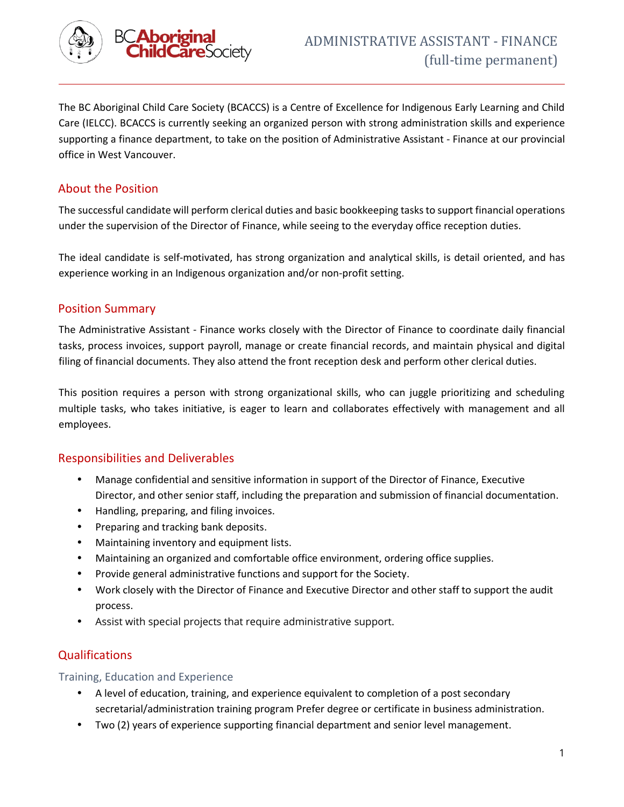

The BC Aboriginal Child Care Society (BCACCS) is a Centre of Excellence for Indigenous Early Learning and Child Care (IELCC). BCACCS is currently seeking an organized person with strong administration skills and experience supporting a finance department, to take on the position of Administrative Assistant - Finance at our provincial office in West Vancouver.

# About the Position

The successful candidate will perform clerical duties and basic bookkeeping tasks to support financial operations under the supervision of the Director of Finance, while seeing to the everyday office reception duties.

The ideal candidate is self-motivated, has strong organization and analytical skills, is detail oriented, and has experience working in an Indigenous organization and/or non-profit setting.

## Position Summary

The Administrative Assistant - Finance works closely with the Director of Finance to coordinate daily financial tasks, process invoices, support payroll, manage or create financial records, and maintain physical and digital filing of financial documents. They also attend the front reception desk and perform other clerical duties.

This position requires a person with strong organizational skills, who can juggle prioritizing and scheduling multiple tasks, who takes initiative, is eager to learn and collaborates effectively with management and all employees.

## Responsibilities and Deliverables

- Manage confidential and sensitive information in support of the Director of Finance, Executive Director, and other senior staff, including the preparation and submission of financial documentation.
- Handling, preparing, and filing invoices.
- Preparing and tracking bank deposits.
- Maintaining inventory and equipment lists.
- Maintaining an organized and comfortable office environment, ordering office supplies.
- Provide general administrative functions and support for the Society.
- Work closely with the Director of Finance and Executive Director and other staff to support the audit process.
- Assist with special projects that require administrative support.

## Qualifications

#### Training, Education and Experience

- A level of education, training, and experience equivalent to completion of a post secondary secretarial/administration training program Prefer degree or certificate in business administration.
- Two (2) years of experience supporting financial department and senior level management.